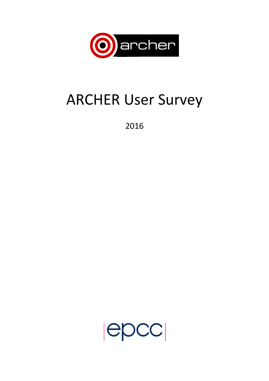

# ARCHER User Survey

2016

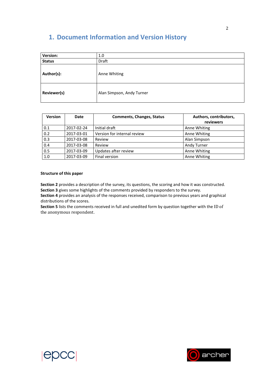# **1. Document Information and Version History**

| <b>Version:</b> | 1.0                       |
|-----------------|---------------------------|
| <b>Status</b>   | Draft                     |
| Author(s):      | Anne Whiting              |
| Reviewer(s)     | Alan Simpson, Andy Turner |

| <b>Version</b> | Date       | <b>Comments, Changes, Status</b> | Authors, contributors,<br>reviewers |
|----------------|------------|----------------------------------|-------------------------------------|
| 0.1            | 2017-02-24 | Initial draft                    | Anne Whiting                        |
| 0.2            | 2017-03-01 | Version for internal review      | Anne Whiting                        |
| 0.3            | 2017-03-08 | Review                           | Alan Simpson                        |
| 0.4            | 2017-03-08 | Review                           | Andy Turner                         |
| 0.5            | 2017-03-09 | Updates after review             | Anne Whiting                        |
| 1.0            | 2017-03-09 | Final version                    | Anne Whiting                        |

#### **Structure of this paper**

**Section 2** provides a description of the survey, its questions, the scoring and how it was constructed. **Section 3** gives some highlights of the comments provided by responders to the survey.

**Section 4** provides an analysis of the responses received, comparison to previous years and graphical distributions of the scores.

**Section 5** lists the comments received in full and unedited form by question together with the ID of the anonymous respondent.



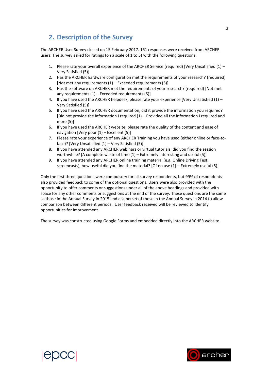## **2. Description of the Survey**

The ARCHER User Survey closed on 15 February 2017. 161 responses were received from ARCHER users. The survey asked for ratings (on a scale of 1 to 5) with the following questions:

- 1. Please rate your overall experience of the ARCHER Service (required) [Very Unsatisfied (1) Very Satisfied (5)]
- 2. Has the ARCHER hardware configuration met the requirements of your research? (required) [Not met any requirements (1) – Exceeded requirements (5)]
- 3. Has the software on ARCHER met the requirements of your research? (required) [Not met any requirements  $(1)$  – Exceeded requirements  $(5)$ ]
- 4. If you have used the ARCHER helpdesk, please rate your experience [Very Unsatisfied (1) Very Satisfied (5)]
- 5. If you have used the ARCHER documentation, did it provide the information you required? [Did not provide the information I required (1) – Provided all the information I required and more (5)]
- 6. If you have used the ARCHER website, please rate the quality of the content and ease of navigation [Very poor (1) – Excellent (5)]
- 7. Please rate your experience of any ARCHER Training you have used (either online or face-toface)? [Very Unsatisfied (1) – Very Satisfied (5)]
- 8. If you have attended any ARCHER webinars or virtual tutorials, did you find the session worthwhile? [A complete waste of time (1) – Extremely interesting and useful (5)]
- 9. If you have attended any ARCHER online training material (e.g. Online Driving Test, screencasts), how useful did you find the material? [Of no use (1) – Extremely useful (5)]

Only the first three questions were compulsory for all survey respondents, but 99% of respondents also provided feedback to some of the optional questions. Users were also provided with the opportunity to offer comments or suggestions under all of the above headings and provided with space for any other comments or suggestions at the end of the survey. These questions are the same as those in the Annual Survey in 2015 and a superset of those in the Annual Survey in 2014 to allow comparison between different periods. User feedback received will be reviewed to identify opportunities for improvement.

The survey was constructed using Google Forms and embedded directly into the ARCHER website.



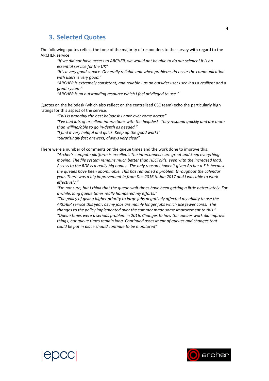### **3. Selected Quotes**

The following quotes reflect the tone of the majority of responders to the survey with regard to the ARCHER service:

*"If we did not have access to ARCHER, we would not be able to do our science! It is an essential service for the UK"*

*"It's a very good service. Generally reliable and when problems do occur the communication with users is very good."*

*"ARCHER is extremely consistent, and reliable - as an outsider user I see it as a resilient and a great system"*

*"ARCHER is an outstanding resource which I feel privileged to use."*

Quotes on the helpdesk (which also reflect on the centralised CSE team) echo the particularly high ratings for this aspect of the service:

*"This is probably the best helpdesk I have ever come across"*

*"I've had lots of excellent interactions with the helpdesk. They respond quickly and are more than willing/able to go in-depth as needed."*

*"I find it very helpful and quick. Keep up the good work!"*

*"Surprisingly fast answers, always very clear"*

There were a number of comments on the queue times and the work done to improve this:

*"Archer's compute platform is excellent. The interconnects are great and keep everything moving. The file system remains much better than HECToR's, even with the increased load. Access to the RDF is a really big bonus. The only reason I haven't given Archer a 5 is because the queues have been abominable. This has remained a problem throughout the calendar year. There was a big improvement in from Dec 2016 to Jan 2017 and I was able to work effectively."*

*"I'm not sure, but I think that the queue wait times have been getting a little better lately. For a while, long queue times really hampered my efforts."*

*"The policy of giving higher priority to large jobs negatively affected my ability to use the ARCHER service this year, as my jobs are mainly longer jobs which use fewer cores. The changes to the policy implemented over the summer made some improvement to this." "Queue times were a serious problem in 2016. Changes to how the queues work did improve things, but queue times remain long. Continued assessment of queues and changes that could be put in place should continue to be monitored"*



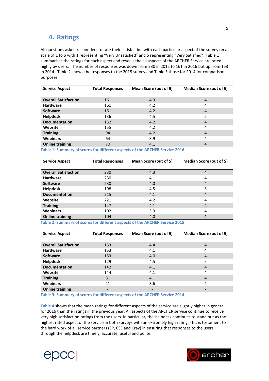## **4. Ratings**

All questions asked responders to rate their satisfaction with each particular aspect of the survey on a scale of 1 to 5 with 1 representing "Very Unsatisfied" and 5 representing "Very Satisfied". [Table 1](#page-4-0) summarises the ratings for each aspect and reveals the all aspects of the ARCHER Service are rated highly by users. The number of responses was down from 230 in 2015 to 161 in 2016 but up from 153 in 2014. Table 2 shows the responses to the 2015 survey and Table 3 those for 2014 for comparison purposes.

| <b>Service Aspect</b>       | <b>Total Responses</b> | Mean Score (out of 5) | <b>Median Score (out of 5)</b> |
|-----------------------------|------------------------|-----------------------|--------------------------------|
|                             |                        |                       |                                |
| <b>Overall Satisfaction</b> | 161                    | 4.3                   | $\overline{4}$                 |
| <b>Hardware</b>             | 161                    | 4.2                   | 4                              |
| <b>Software</b>             | 161                    | 4.2                   | $\overline{4}$                 |
| <b>Helpdesk</b>             | 136                    | 4.5                   | 5                              |
| <b>Documentation</b>        | 152                    | 4.2                   | $\overline{4}$                 |
| Website                     | 155                    | 4.2                   | 4                              |
| <b>Training</b>             | 94                     | 4.2                   | $\overline{4}$                 |
| <b>Webinars</b>             | 64                     | 3.9                   | 4                              |
| <b>Online training</b>      | 70                     | 4.1                   | 4                              |

<span id="page-4-0"></span>**Table 1: Summary of scores for different aspects of the ARCHER Service 2016**

| <b>Service Aspect</b>       | <b>Total Responses</b> | Mean Score (out of 5) | <b>Median Score (out of 5)</b> |
|-----------------------------|------------------------|-----------------------|--------------------------------|
|                             |                        |                       |                                |
| <b>Overall Satisfaction</b> | 230                    | 4.3                   | 4                              |
| <b>Hardware</b>             | 230                    | 4.1                   | 4                              |
| <b>Software</b>             | 230                    | 4.0                   | 4                              |
| <b>Helpdesk</b>             | 198                    | 4.5                   | 5                              |
| <b>Documentation</b>        | 215                    | 4.1                   | 4                              |
| Website                     | 221                    | 4.2                   | 4                              |
| <b>Training</b>             | 147                    | 4.1                   | 4                              |
| <b>Webinars</b>             | 102                    | 3.9                   | 4                              |
| <b>Online training</b>      | 104                    | 4.0                   | 4                              |

**Table 2: Summary of scores for different aspects of the ARCHER Service 2015**

| <b>Service Aspect</b>       | <b>Total Responses</b> | Mean Score (out of 5) | <b>Median Score (out of 5)</b> |
|-----------------------------|------------------------|-----------------------|--------------------------------|
|                             |                        |                       |                                |
| <b>Overall Satisfaction</b> | 153                    | 4.4                   | 4                              |
| <b>Hardware</b>             | 153                    | 4.1                   | 4                              |
| <b>Software</b>             | 153                    | 4.0                   | $\overline{4}$                 |
| <b>Helpdesk</b>             | 129                    | 4.5                   | 5                              |
| <b>Documentation</b>        | 142                    | 4.1                   | $\overline{4}$                 |
| Website                     | 144                    | 4.1                   | 4                              |
| <b>Training</b>             | 81                     | 4.1                   | $\overline{4}$                 |
| <b>Webinars</b>             | 41                     | 3.6                   | 4                              |
| <b>Online training</b>      |                        |                       |                                |

**Table 3: Summary of scores for different aspects of the ARCHER Service 2014**

**[Table 4](#page-5-0)** shows that the mean ratings for different aspects of the service are slightly higher in general for 2016 than the ratings in the previous year. All aspects of the ARCHER service continue to receive very high satisfaction ratings from the users. In particular, the Helpdesk continues to stand out as the highest rated aspect of the service in both surveys with an extremely high rating. This is testament to the hard work of all service partners (SP, CSE and Cray) in ensuring that responses to the users through the helpdesk are timely, accurate, useful and polite.



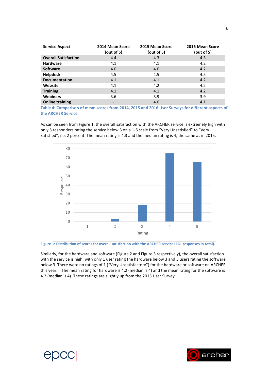| <b>Service Aspect</b>       | 2014 Mean Score<br>(out of 5) | 2015 Mean Score<br>(out of 5) | 2016 Mean Score<br>(out of $5$ ) |
|-----------------------------|-------------------------------|-------------------------------|----------------------------------|
| <b>Overall Satisfaction</b> | 4.4                           | 4.3                           | 4.3                              |
| <b>Hardware</b>             | 4.1                           | 4.1                           | 4.2                              |
| <b>Software</b>             | 4.0                           | 4.0                           | 4.2                              |
| <b>Helpdesk</b>             | 4.5                           | 4.5                           | 4.5                              |
| <b>Documentation</b>        | 4.1                           | 4.1                           | 4.2                              |
| Website                     | 4.1                           | 4.2                           | 4.2                              |
| <b>Training</b>             | 4.1                           | 4.1                           | 4.2                              |
| <b>Webinars</b>             | 3.6                           | 3.9                           | 3.9                              |
| <b>Online training</b>      |                               | 4.0                           | 4.1                              |

<span id="page-5-0"></span>**Table 4: Comparison of mean scores from 2014, 2015 and 2016 User Surveys for different aspects of the ARCHER Service**

As can be seen fro[m Figure 1,](#page-5-1) the overall satisfaction with the ARCHER service is extremely high with only 3 responders rating the service below 3 on a 1-5 scale from "Very Unsatisfied" to "Very Satisfied", i.e. 2 percent. The mean rating is 4.3 and the median rating is 4, the same as in 2015.



<span id="page-5-1"></span>**Figure 1: Distribution of scores for overall satisfaction with the ARCHER service (161 responses in total).**

Similarly, for the hardware and software [\(Figure 2](#page-6-0) and [Figure 3](#page-6-1) respectively), the overall satisfaction with the service is high, with only 1 user rating the hardware below 3 and 5 users rating the software below 3. There were no ratings of 1 ("Very Unsatisfactory") for the hardware or software on ARCHER this year. The mean rating for hardware is 4.2 (median is 4) and the mean rating for the software is 4.2 (median is 4). These ratings are slightly up from the 2015 User Survey.



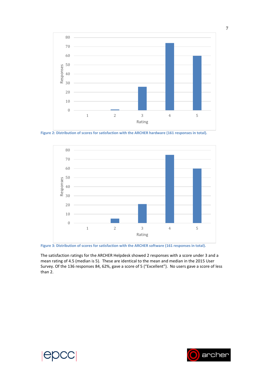

<span id="page-6-0"></span>**Figure 2: Distribution of scores for satisfaction with the ARCHER hardware (161 responses in total).**



<span id="page-6-1"></span>**Figure 3: Distribution of scores for satisfaction with the ARCHER software (161 responses in total).**

The satisfaction ratings for the ARCHER Helpdesk showed 2 responses with a score under 3 and a mean rating of 4.5 (median is 5). These are identical to the mean and median in the 2015 User Survey. Of the 136 responses 84, 62%, gave a score of 5 ("Excellent"). No users gave a score of less than 2.

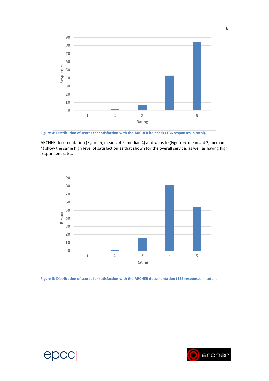

**Figure 4: Distribution of scores for satisfaction with the ARCHER helpdesk (136 responses in total).**

ARCHER documentation (Figure 5, mean = 4.2, median 4) and website (Figure 6, mean = 4.2, median 4) show the same high level of satisfaction as that shown for the overall service, as well as having high respondent rates.



**Figure 5: Distribution of scores for satisfaction with the ARCHER documentation (152 responses in total).**

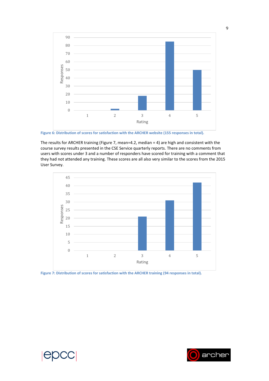

**Figure 6: Distribution of scores for satisfaction with the ARCHER website (155 responses in total).**

The results for ARCHER training (Figure 7, mean=4.2, median = 4) are high and consistent with the course survey results presented in the CSE Service quarterly reports. There are no comments from users with scores under 3 and a number of responders have scored for training with a comment that they had not attended any training. These scores are all also very similar to the scores from the 2015 User Survey.



**Figure 7: Distribution of scores for satisfaction with the ARCHER training (94 responses in total).**

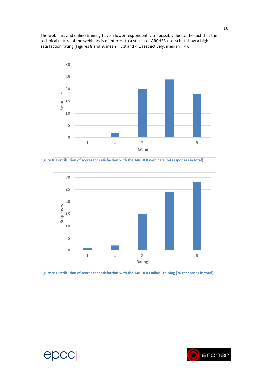The webinars and online training have a lower respondent rate (possibly due to the fact that the technical nature of the webinars is of interest to a subset of ARCHER users) but show a high satisfaction rating (Figures 8 and 9, mean = 3.9 and 4.1 respectively, median = 4).



**Figure 8: Distribution of scores for satisfaction with the ARCHER webinars (64 responses in total).**



**Figure 9: Distribution of scores for satisfaction with the ARCHER Online Training (70 responses in total).**





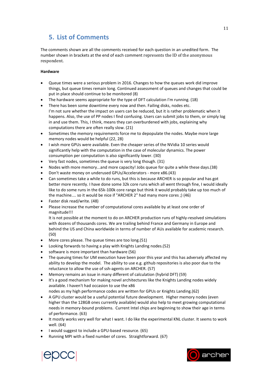## **5. List of Comments**

The comments shown are all the comments received for each question in an unedited form. The number shown in brackets at the end of each comment represents the ID of the anonymous respondent.

#### **Hardware**

- Queue times were a serious problem in 2016. Changes to how the queues work did improve things, but queue times remain long. Continued assessment of queues and changes that could be put in place should continue to be monitored (8)
- The hardware seems appropriate for the type of DFT calculation I'm running. (18)
- There has been some downtime every now and then. Failing disks, nodes etc. I'm not sure whether the impact on users can be reduced, but it is rather problematic when it happens. Also, the use of PP nodes I find confusing. Users can submit jobs to them, or simply log in and use them. This, I think, means they can overburdened with jobs, explaining why computations there are often really slow. (21)
- Sometimes the memory requirements force me to depopulate the nodes. Maybe more large memory nodes would be helpful (22, 28)
- I wish more GPUs were available. Even the cheaper series of the NVidia 10 series would significantly help with the computation in the case of molecular dynamics. The power consumption per computation is also significantly lower. (30)
- Very fast nodes, sometimes the queue is very long though. (31)
- Nodes with more memory...and more capacity! Jobs queue for quite a while these days.(38)
- Don't waste money on underused GPUs/Accelerators more x86.(43)
- Can sometimes take a while to do runs, but this is because ARCHER is so popular and has got better more recently. I have done some 32k core runs which all went through fine, I would ideally like to do some runs in the 65k-100k core range but think it would probably take up too much of the machine.... so it would be nice if "ARCHER 2" had many more cores ;) (46)
- Faster disk read/write. (48)
- Please increase the number of computational cores available by at least one order of magnitude!!!

It is not possible at the moment to do on ARCHER production runs of highly-resolved simulations with dozens of thousands cores. We are trailing behind France and Germany in Europe and behind the US and China worldwide in terms of number of AUs available for academic research. (50)

- More cores please. The queue times are too long.(51)
- Looking forwards to having a play with Knights Landing nodes.(52)
- software is more important than hardware (56)
- The queuing times for UM execution have been poor this year and this has adversely affected my ability to develop the model. The ability to use e.g. github repositories is also poor due to the reluctance to allow the use of ssh-agents on ARCHER. (57)
- Memory remains an issue in many different of calculation (hybrid DFT) (59)
- It's a good mechanism for making novel architectures like the Knights Landing nodes widely available. I haven't had occasion to use the x86
- nodes as my high performance codes are written for GPUs or Knights Landing.(62)
- A GPU cluster would be a useful potential future development. Higher memory nodes (even higher than the 128GB ones currently available) would also help to meet growing computational needs in memory-bound problems. Current Intel chips are beginning to show their age in terms of performance. (63)
- It mostly works very well for what I want. I do like the experimental KNL cluster. It seems to work well. (64)
- I would suggest to include a GPU-based resource. (65)
- Running MPI with a fixed number of cores. Straightforward. (67)



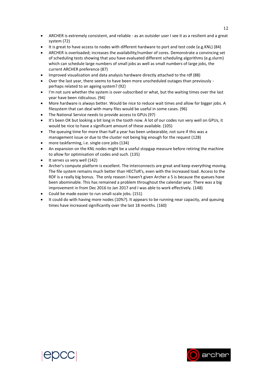- ARCHER is extremely consistent, and reliable as an outsider user I see it as a resilient and a great system (72)
- It is great to have access to nodes with different hardware to port and test code (e.g.KNL) (84)
- ARCHER is overloaded; increases the availability/number of cores. Demonstrate a convincing set of scheduling tests showing that you have evaluated different scheduling algorithms (e.g.slurm) which can schedule large numbers of small jobs as well as small numbers of large jobs, the current ARCHER preference (87)
- Improved visualisation and data analysis hardware directly attached to the rdf (88)
- Over the last year, there seems to have been more unscheduled outages than previously perhaps related to an ageing system? (92)
- I'm not sure whether the system is over-subscribed or what, but the waiting times over the last year have been ridiculous. (94)
- More hardware is always better. Would be nice to reduce wait times and allow for bigger jobs. A filesystem that can deal with many files would be useful in some cases. (96)
- The National Service needs to provide access to GPUs (97)
- It's been OK but looking a bit long in the tooth now. A lot of our codes run very well on GPUs, it would be nice to have a significant amount of these available. (105)
- The queuing time for more than half a year has been unbearable, not sure if this was a management issue or due to the cluster not being big enough for the request (128)
- more taskfarming, i.e. single core jobs (134)
- An expansion on the KNL nodes might be a useful stopgap measure before retiring the machine to allow for optimisation of codes and such. (135)
- It serves us very well (142)
- Archer's compute platform is excellent. The interconnects are great and keep everything moving. The file system remains much better than HECToR's, even with the increased load. Access to the RDF is a really big bonus. The only reason I haven't given Archer a 5 is because the queues have been abominable. This has remained a problem throughout the calendar year. There was a big improvement in from Dec 2016 to Jan 2017 and I was able to work effectively. (148)
- Could be made easier to run small-scale jobs. (151)
- It could do with having more nodes (10%?). It appears to be running near capacity, and queuing times have increased significantly over the last 18 months. (160)



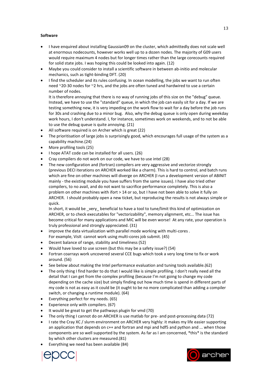#### **Software**

- I have enquired about installing Gaussian09 on the cluster, which admittedly does not scale well at enormous nodecounts, however works well up to a dozen nodes. The majority of G09 users would require maximum 4 nodes but for longer times rather than the large corecounts required for solid state jobs. I was hoping this could be looked into again. (12)
- Maybe you could consider to install a scientific software in between ab-initio and molecular mechanics, such as tight-binding DFT. (20)
- I find the scheduler and its rules confusing. In ocean modelling, the jobs we want to run often need ~20-30 nodes for ~2 hrs, and the jobs are often tuned and hardwired to use a certain number of nodes.

It is therefore annoying that there is no way of running jobs of this size on the "debug" queue. Instead, we have to use the "standard" queue, in which the job can easily sit for a day. If we are testing something new, it is very impeding on the work flow to wait for a day before the job runs for 30s and crashing due to a minor bug. Also, why the debug queue is only open during weekday work hours, I don't understand. I, for instance, sometimes work on weekends, and to not be able to use the debug queue is quite annoying. (21)

- All software required is on Archer which is great (22)
- The prioritisation of large jobs is surprisingly good, which encourages full usage of the system as a capability machine.(24)
- More profiling tools (25)
- I hope ATAT code can be installed for all users. (26)
- Cray compilers do not work on our code, we have to use intel (28)
- The new configuration and (fortran) compilers are very aggressive and vectorize strongly (previous DECI iterations on ARCHER worked like a charm). This is hard to control, and batch runs which are fine on other machines will diverge on ARCHER (I run a development version of ABINIT mainly - the existing module you have suffers from the same issues). I have also tried other compilers, to no avail, and do not want to sacrifice performance completely. This is also a problem on other machines with ifort > 14 or so, but I have not been able to solve it fully on ARCHER. I should probably open a new ticket, but reproducing the results is not always simple or quick.

In short, it would be \_very\_ beneficial to have a tool to tune/limit this kind of optimization on ARCHER, or to check executables for "vectorizability", memory alignment, etc... The issue has become critical for many applications and MIC will be even worse! At any rate, your operation is truly professional and strongly appreciated. (31)

- improve the data virtualization with parallel mode working with multi-cores . For example, VisIt cannot work using multi-cores job submit. (45)
- Decent balance of range, stability and timeliness (52)
- Would have loved to use screen (but this may be a safety issue?) (54)
- Fortran coarrays work uncovered several CCE bugs which took a very long time to fix or work around. (56)
- See below about making the Intel performance evaluation and tuning tools available.(62)
- The only thing I find harder to do that I would like is simple profiling. I don't really need all the detail that I can get from the complex profiling (because I'm not going to change my code depending on the cache size) but simply finding out how much time is spend in different parts of my code is not as easy as it could be (it ought to be no more complicated than adding a compiler switch, or changing a runtime module). (64)
- Everything perfect for my needs. (65)
- Experience only with compilers. (67)
- It would be great to get the pathways plugin for vmd (70)
- The only thing I cannot do on ARCHER is use matlab for pre- and post-processing data (72)
- I rate the Cray XC / slurm environment on ARCHER very highly: it makes my life easier supporting an application that depends on  $c++$  and fortran and mpi and hdf5 and python and ... when those components are so well supported by the system. As far as I am concerned, \*this\* is the standard by which other clusters are measured.(81)
- Everything we need has been available (84)



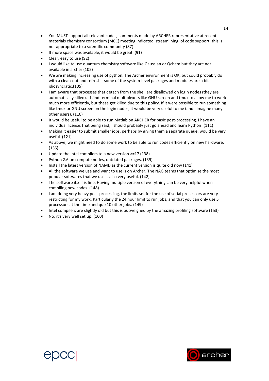- You MUST support all relevant codes; comments made by ARCHER representative at recent materials chemistry consortium (MCC) meeting indicated 'streamlining' of code support; this is not appropriate to a scientific community (87)
- If more space was available, it would be great. (91)
- Clear, easy to use (92)
- I would like to use quantum chemistry software like Gaussian or Qchem but they are not available in archer (102)
- We are making increasing use of python. The Archer environment is OK, but could probably do with a clean-out and refresh - some of the system-level packages and modules are a bit idiosyncratic.(105)
- I am aware that processes that detach from the shell are disallowed on login nodes (they are automatically killed). I find terminal multiplexers like GNU screen and tmux to allow me to work much more efficiently, but these get killed due to this policy. If it were possible to run something like tmux or GNU screen on the login nodes, it would be very useful to me (and I imagine many other users). (110)
- It would be useful to be able to run Matlab on ARCHER for basic post-processing. I have an individual license.That being said, I should probably just go ahead and learn Python! (111)
- Making it easier to submit smaller jobs, perhaps by giving them a separate queue, would be very useful. (121)
- As above, we might need to do some work to be able to run codes efficiently on new hardware. (135)
- Update the intel compilers to a new version >=17 (138)
- Python 2.6 on compute nodes, outdated packages. (139)
- Install the latest version of NAMD as the current version is quite old now (141)
- All the software we use and want to use is on Archer. The NAG teams that optimise the most popular softwares that we use is also very useful. (142)
- The software itself is fine. Having multiple version of everything can be very helpful when compiling new codes. (148)
- I am doing very heavy post-processing, the limits set for the use of serial processors are very restricting for my work. Particularly the 24 hour limit to run jobs, and that you can only use 5 processors at the time and que 10 other jobs. (149)
- Intel compilers are slightly old but this is outweighed by the amazing profiling software (153)
- No, it's very well set up. (160)





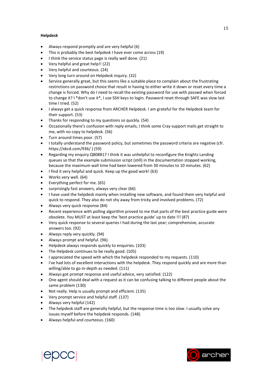#### **Helpdesk**

- Always respond promptly and are very helpful (6)
- This is probably the best helpdesk I have ever come across (19)
- I think the service status page is really well done. (21)
- Very helpful and great help!! (22)
- Very helpful and courteous. (24)
- Very long turn around on Helpdesk inquiry. (32)
- Service generally great, but this seems like a suitable place to complain about the frustrating restrictions on password choice that result in having to either write it down or reset every time a change is forced. Why do I need to recall the existing password for use with passwd when forced to change it? I \*don't use it\*, I use SSH keys to login. Password reset through SAFE was slow last time I tried. (52)
- I always get a quick response from ARCHER Helpdesk. I am grateful for the Helpdesk team for their support. (53)
- Thanks for responding to my questions so quickly. (54)
- Occasionally there's confusion with reply emails, I think some Cray support mails get straight to me, with no copy to helpdesk. (56)
- Turn around times poor. (57)
- I totally understand the password policy, but sometimes the password criteria are negative (cfr. https://xkcd.com/936/ ) (59)
- Regarding my enquiry Q808817 I think it was unhelpful to reconfigure the Knights Landing queues so that the example submission script (still) in the documentation stopped working, because the maximum wall time had been lowered from 30 minutes to 10 minutes. (62)
- $\bullet$  I find it very helpful and quick. Keep up the good work! (63)
- Works very well. (64)
- Everything perfect for me. (65)
- surprisingly fast answers, always very clear (66)
- I have used the helpdesk mainly when installing new software, and found them very helpful and quick to respond. They also do not shy away from tricky and involved problems. (72)
- Always very quick response (84)
- Recent experience with polling algorithm proved to me that parts of the best practice guide were obsolete. You MUST at least keep the 'best practice guide' up to date !!! (87)
- Very quick response to several queries I had during the last year; comprehensive, accurate answers too. (92)
- Always reply very quickly. (94)
- Always prompt and helpful. (96)
- Helpdesk always responds quickly to enquiries. (103)
- The Helpdesk continues to be really good. (105)
- I appreciated the speed with which the helpdesk responded to my requests. (110)
- I've had lots of excellent interactions with the helpdesk. They respond quickly and are more than willing/able to go in-depth as needed. (111)
- Always got prompt response and useful advice, very satisfied. (122)
- One agent should deal with a request as it can be confusing talking to different people about the same problem (130)
- Not really. Help is usually prompt and efficient. (135)
- Very prompt service and helpful staff. (137)
- Always very helpful (142)
- The helpdesk staff are generally helpful, but the response time is too slow. I usually solve any issues myself before the helpdesk responds. (148)
- Always helpful and courteous. (160)



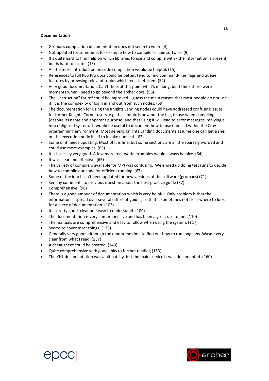#### **Documentation**

- Gromacs compilation documentation does not seem to work. (4)
- Not updated for sometime, for example how to compile certain software (9)
- It's quite hard to find help on which libraries to use and compile with the information is present, but is hard to locate. (13)
- A little more introduction on code compilation would be helpful. (15)
- References to full PBS Pro docs could be better; tend to find command-line flags and queue features by browsing relevant topics which feels inefficient (52)
- Very good documentation. Can't think at this point what's missing, but I think there were moments when I need to go beyond the archer docs. (56)
- The "instruction" for rdf could be improved. I guess the main reason that most people do not use it, it is the complexity of login in and out from such nodes. (59)
- The documentation for using the Knights Landing nodes could have addressed confusing issues for former Knights Corner users, e.g. that -mmic is now not the flag to use when compiling (despite its name and apparent purpose) and that using it will lead to error messages implying a misconfigured system. It would be useful to document how to use numactl within the Cray programming environment. Most generic Knights Landing documents assume one can get a shell on the execution node itself to invoke numactl. (62)
- Some of it needs updating. Most of it is fine, but some sections are a little sparsely worded and could use more examples. (63)
- It is basically very good. A few more real-world examples would always be nice. (64)
- It was clear and effective. (65)
- The variety of compilers available for MPI was confusing. We ended up doing test runs to decide how to compile our code for efficient running. (67)
- Some of the info hasn't been updated for new versions of the software (gromacs) (71)
- See my comments to previous question about the best practice guide (87)
- Comprehensive. (96)
- There is a good amount of documentation which is very helpful. Only problem is that the information is spread over several different guides, so that it sometimes not clear where to look for a piece of documentation. (103)
- It is pretty good, clear and easy to understand. (109)
- The documentation is very comprehensive and has been a great use to me. (110)
- The manuals are comprehensive and easy to follow when using the system. (117)
- Seems to cover most things. (135)
- Generally very good, although took me some time to find out how to run long jobs. Wasn't very clear from what I read. (137)
- A cheat sheet could be created. (143)
- Quite comprehensive with good links to further reading (153)
- The KNL documentation was a bit patchy, but the main service is well documented. (160)



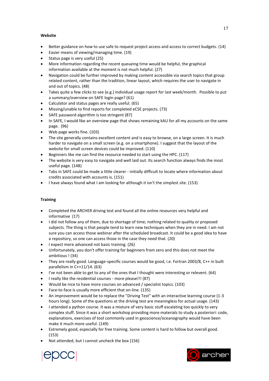#### **Website**

- Better guidance on how to use safe to request project access and access to correct budgets. (14)
- Easier means of viewing/managing time. (19)
- Status page is very useful (25)
- More information regarding the recent queueing time would be helpful, the graphical information available at the moment is not much helpful. (27)
- Navigation could be further improved by making content accessible via search topics that group related content, rather than the tradition, linear layout, which requires the user to navigate in and out of topics. (48)
- Takes quite a few clicks to see (e.g.) individual usage report for last week/month. Possible to put a summary/overview on SAFE login page? (61)
- Calculator and status pages are really useful. (65)
- Missing/unable to find reports for completed eCSE projects. (73)
- SAFE password algorithm is too stringent (87)
- In SAFE, I would like an overview page that shows remaining kAU for all my accounts on the same page. (96)
- Web page works fine. (103)
- The site generally contains excellent content and is easy to browse, on a large screen. It is much harder to navigate on a small screen (e.g. on a smartphone). I suggest that the layout of the website for small screen devices could be improved. (110)
- Beginners like me can find the resource needed to start using the HPC. (117)
- The website is very easy to navigate and well laid out. Its search function always finds the most useful page. (148)
- Tabs in SAFE could be made a little clearer initially difficult to locate where information about credits associated with accounts is. (151)
- I have always found what I am looking for although it isn't the simplest site. (153)

#### **Training**

- Completed the ARCHER driving test and found all the online resources very helpful and informative (17)
- I did not follow any of them, due to shortage of time; nothing related to quality or proposed subjects. The thing is that people tend to learn new techniques when they are in need. I am not sure you can access those webinar after the scheduled broadcast. It could be a good idea to have a repository, so one can access those in the case they need that. (20)
- I expect more advanced not basic training. (26)
- Unfortunately, you don't offer training for beginners from zero and this does not meet the ambitious ! (34)
- They are really good. Language-specific courses would be good, i.e. Fortran 2003/8, C++ in built parallelism in C++11/14. (63)
- I've not been able to get to any of the ones that I thought were interesting or relevent. (64)
- I really like the residential courses more please!!! (87)
- Would be nice to have more courses on advanced / specialist topics. (103)
- Face-to-face is usually more efficient that on-line. (135)
- An improvement would be to replace the "Driving Test" with an interactive learning course (1-3 hours long). Some of the questions at the driving test are meaningless for actual usage. (143)
- I attended a python course. It was a mixture of very basic stuff escalating too quickly to very complex stuff. Since it was a short workshop providing more materials to study a posteriori: code, explanations, exercises of tool commonly used in geoscience/oceanography would have been make it much more useful. (149)
- Extremely good, especially for free training. Some content is hard to follow but overall good. (153)
- Not attended, but I cannot uncheck the box (156)



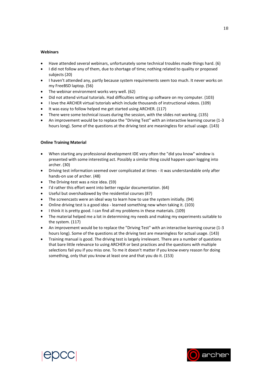#### **Webinars**

- Have attended several webinars, unfortunately some technical troubles made things hard. (6)
- I did not follow any of them, due to shortage of time; nothing related to quality or proposed subjects (20)
- I haven't attended any, partly because system requirements seem too much. It never works on my FreeBSD laptop. (56)
- The webinar environment works very well. (62)
- Did not attend virtual tutorials. Had difficulties setting up software on my computer. (103)
- I love the ARCHER virtual tutorials which include thousands of instructional videos. (109)
- It was easy to follow helped me get started using ARCHER. (117)
- There were some technical issues during the session, with the slides not working. (135)
- An improvement would be to replace the "Driving Test" with an interactive learning course (1-3 hours long). Some of the questions at the driving test are meaningless for actual usage. (143)

#### **Online Training Material**

- When starting any professional development IDE very often the "did you know" window is presented with some interesting act. Possibly a similar thing could happen upon logging into archer. (30)
- Driving test information seemed over complicated at times it was understandable only after hands-on use of archer. (48)
- The Driving-test was a nice idea. (59)
- I'd rather this effort went into better regular documentation. (64)
- Useful but overshadowed by the residential courses (87)
- The screencasts were an ideal way to learn how to use the system initially. (94)
- Online driving test is a good idea learned something new when taking it. (103)
- I think it is pretty good. I can find all my problems in these materials. (109)
- The material helped me a lot in determining my needs and making my experiments suitable to the system. (117)
- An improvement would be to replace the "Driving Test" with an interactive learning course (1-3 hours long). Some of the questions at the driving test are meaningless for actual usage. (143)
- Training manual is good. The driving test is largely irrelevant. There are a number of questions that bare little relevance to using ARCHER or best practices and the questions with multiple selections fail you if you miss one. To me it doesn't matter if you know every reason for doing something, only that you know at least one and that you do it. (153)